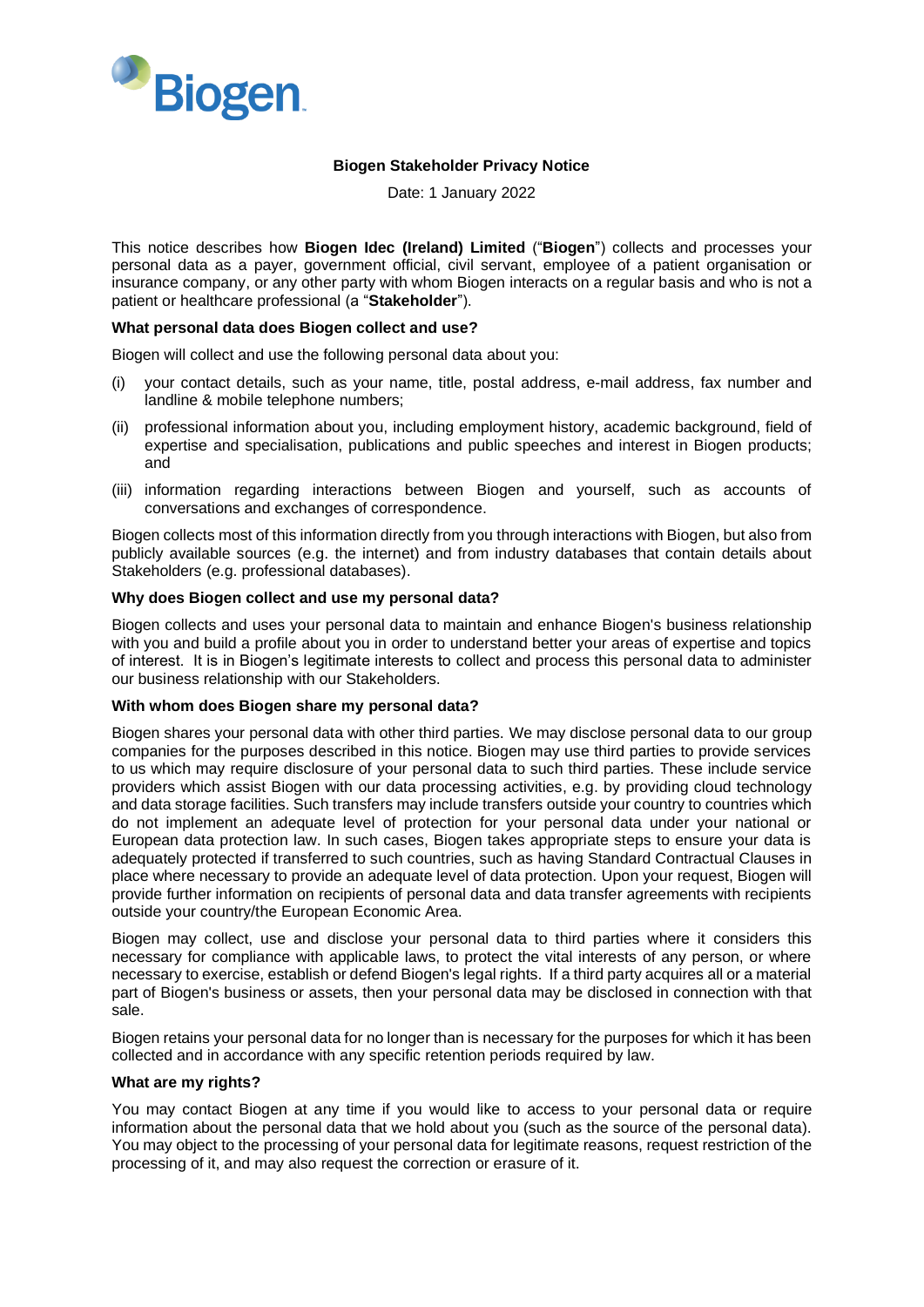

## **Biogen Stakeholder Privacy Notice**

Date: 1 January 2022

This notice describes how **Biogen Idec (Ireland) Limited** ("**Biogen**") collects and processes your personal data as a payer, government official, civil servant, employee of a patient organisation or insurance company, or any other party with whom Biogen interacts on a regular basis and who is not a patient or healthcare professional (a "**Stakeholder**").

### **What personal data does Biogen collect and use?**

Biogen will collect and use the following personal data about you:

- (i) your contact details, such as your name, title, postal address, e-mail address, fax number and landline & mobile telephone numbers;
- (ii) professional information about you, including employment history, academic background, field of expertise and specialisation, publications and public speeches and interest in Biogen products; and
- (iii) information regarding interactions between Biogen and yourself, such as accounts of conversations and exchanges of correspondence.

Biogen collects most of this information directly from you through interactions with Biogen, but also from publicly available sources (e.g. the internet) and from industry databases that contain details about Stakeholders (e.g. professional databases).

#### **Why does Biogen collect and use my personal data?**

Biogen collects and uses your personal data to maintain and enhance Biogen's business relationship with you and build a profile about you in order to understand better your areas of expertise and topics of interest. It is in Biogen's legitimate interests to collect and process this personal data to administer our business relationship with our Stakeholders.

#### **With whom does Biogen share my personal data?**

Biogen shares your personal data with other third parties. We may disclose personal data to our group companies for the purposes described in this notice. Biogen may use third parties to provide services to us which may require disclosure of your personal data to such third parties. These include service providers which assist Biogen with our data processing activities, e.g. by providing cloud technology and data storage facilities. Such transfers may include transfers outside your country to countries which do not implement an adequate level of protection for your personal data under your national or European data protection law. In such cases, Biogen takes appropriate steps to ensure your data is adequately protected if transferred to such countries, such as having Standard Contractual Clauses in place where necessary to provide an adequate level of data protection. Upon your request, Biogen will provide further information on recipients of personal data and data transfer agreements with recipients outside your country/the European Economic Area.

Biogen may collect, use and disclose your personal data to third parties where it considers this necessary for compliance with applicable laws, to protect the vital interests of any person, or where necessary to exercise, establish or defend Biogen's legal rights. If a third party acquires all or a material part of Biogen's business or assets, then your personal data may be disclosed in connection with that sale.

Biogen retains your personal data for no longer than is necessary for the purposes for which it has been collected and in accordance with any specific retention periods required by law.

#### **What are my rights?**

You may contact Biogen at any time if you would like to access to your personal data or require information about the personal data that we hold about you (such as the source of the personal data). You may object to the processing of your personal data for legitimate reasons, request restriction of the processing of it, and may also request the correction or erasure of it.